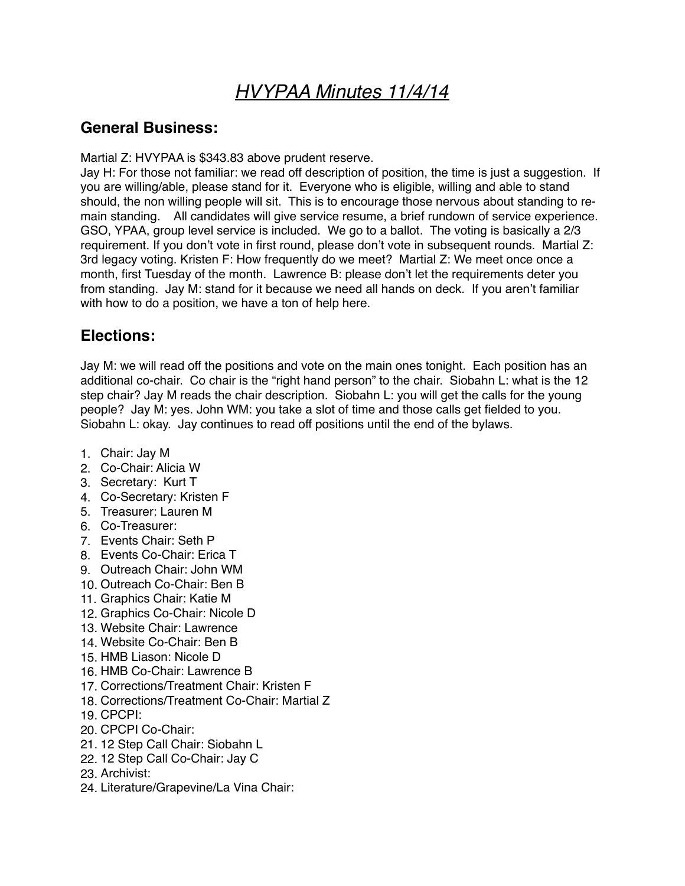# *HVYPAA Minutes 11/4/14*

## **General Business:**

Martial Z: HVYPAA is \$343.83 above prudent reserve.

Jay H: For those not familiar: we read off description of position, the time is just a suggestion. If you are willing/able, please stand for it. Everyone who is eligible, willing and able to stand should, the non willing people will sit. This is to encourage those nervous about standing to remain standing. All candidates will give service resume, a brief rundown of service experience. GSO, YPAA, group level service is included. We go to a ballot. The voting is basically a 2/3 requirement. If you don't vote in first round, please don't vote in subsequent rounds. Martial Z: 3rd legacy voting. Kristen F: How frequently do we meet? Martial Z: We meet once once a month, first Tuesday of the month. Lawrence B: please don't let the requirements deter you from standing. Jay M: stand for it because we need all hands on deck. If you aren't familiar with how to do a position, we have a ton of help here.

# **Elections:**

Jay M: we will read off the positions and vote on the main ones tonight. Each position has an additional co-chair. Co chair is the "right hand person" to the chair. Siobahn L: what is the 12 step chair? Jay M reads the chair description. Siobahn L: you will get the calls for the young people? Jay M: yes. John WM: you take a slot of time and those calls get fielded to you. Siobahn L: okay. Jay continues to read off positions until the end of the bylaws.

- 1. Chair: Jay M
- 2. Co-Chair: Alicia W
- 3. Secretary: Kurt T
- 4. Co-Secretary: Kristen F
- 5. Treasurer: Lauren M
- 6. Co-Treasurer:
- 7. Events Chair: Seth P
- 8. Events Co-Chair: Erica T
- 9. Outreach Chair: John WM
- 10. Outreach Co-Chair: Ben B
- 11. Graphics Chair: Katie M
- 12. Graphics Co-Chair: Nicole D
- 13. Website Chair: Lawrence
- 14. Website Co-Chair: Ben B
- 15. HMB Liason: Nicole D
- 16. HMB Co-Chair: Lawrence B
- 17. Corrections/Treatment Chair: Kristen F
- 18. Corrections/Treatment Co-Chair: Martial Z
- 19. CPCPI:
- 20. CPCPI Co-Chair:
- 21. 12 Step Call Chair: Siobahn L
- 22. 12 Step Call Co-Chair: Jay C
- 23. Archivist:
- 24. Literature/Grapevine/La Vina Chair: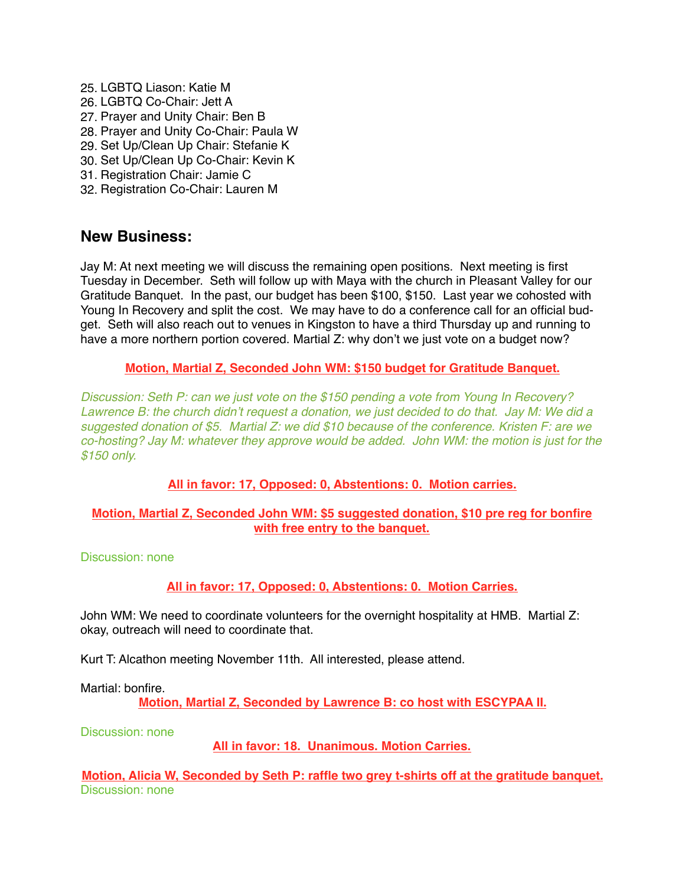25. LGBTQ Liason: Katie M 26. LGBTQ Co-Chair: Jett A 27. Prayer and Unity Chair: Ben B 28. Prayer and Unity Co-Chair: Paula W 29. Set Up/Clean Up Chair: Stefanie K 30. Set Up/Clean Up Co-Chair: Kevin K 31. Registration Chair: Jamie C 32. Registration Co-Chair: Lauren M

### **New Business:**

Jay M: At next meeting we will discuss the remaining open positions. Next meeting is first Tuesday in December. Seth will follow up with Maya with the church in Pleasant Valley for our Gratitude Banquet. In the past, our budget has been \$100, \$150. Last year we cohosted with Young In Recovery and split the cost. We may have to do a conference call for an official budget. Seth will also reach out to venues in Kingston to have a third Thursday up and running to have a more northern portion covered. Martial Z: why don't we just vote on a budget now?

#### **Motion, Martial Z, Seconded John WM: \$150 budget for Gratitude Banquet.**

*Discussion: Seth P: can we just vote on the \$150 pending a vote from Young In Recovery? Lawrence B: the church didn't request a donation, we just decided to do that. Jay M: We did a suggested donation of \$5. Martial Z: we did \$10 because of the conference. Kristen F: are we co-hosting? Jay M: whatever they approve would be added. John WM: the motion is just for the \$150 only.*

### **All in favor: 17, Opposed: 0, Abstentions: 0. Motion carries.**

#### **Motion, Martial Z, Seconded John WM: \$5 suggested donation, \$10 pre reg for bonfire with free entry to the banquet.**

Discussion: none

### **All in favor: 17, Opposed: 0, Abstentions: 0. Motion Carries.**

John WM: We need to coordinate volunteers for the overnight hospitality at HMB. Martial Z: okay, outreach will need to coordinate that.

Kurt T: Alcathon meeting November 11th. All interested, please attend.

Martial: bonfire.

**Motion, Martial Z, Seconded by Lawrence B: co host with ESCYPAA II.**

Discussion: none

**All in favor: 18. Unanimous. Motion Carries.**

**Motion, Alicia W, Seconded by Seth P: raffle two grey t-shirts off at the gratitude banquet.** Discussion: none